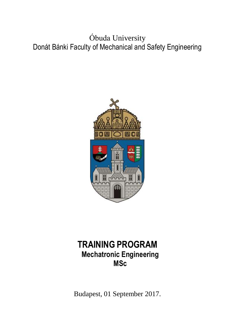Óbuda University Donát Bánki Faculty of Mechanical and Safety Engineering



# **TRAINING PROGRAM Mechatronic Engineering MSc**

Budapest, 01 September 2017.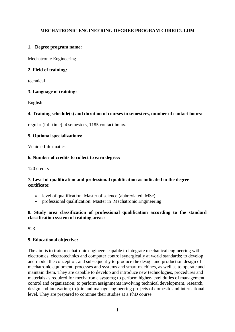## **MECHATRONIC ENGINEERING DEGREE PROGRAM CURRICULUM**

## **1. Degree program name:**

Mechatronic Engineering

## **2. Field of training:**

technical

## **3. Language of training:**

English

## **4. Training schedule(s) and duration of courses in semesters, number of contact hours:**

regular (full-time); 4 semesters, 1185 contact hours.

## **5. Optional specializations:**

Vehicle Informatics

## **6. Number of credits to collect to earn degree:**

120 credits

## **7. Level of qualification and professional qualification as indicated in the degree certificate:**

- level of qualification: Master of science (abbreviated: MSc)
- professional qualification: Master in Mechatronic Engineering

## **8. Study area classification of professional qualification according to the standard classification system of training areas:**

523

## **9. Educational objective:**

The aim is to train mechatronic engineers capable to integrate mechanical engineering with electronics, electrotechnics and computer control synergically at world standards; to develop and model the concept of, and subsequently to produce the design and production design of mechatronic equipment, processes and systems and smart machines, as well as to operate and maintain them. They are capable to develop and introduce new technologies, procedures and materials as required for mechatronic systems; to perform higher-level duties of management, control and organization; to perform assignments involving technical development, research, design and innovation; to join and manage engineering projects of domestic and international level. They are prepared to continue their studies at a PhD course.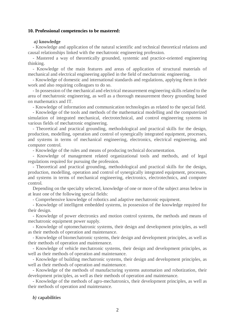#### **10. Professional competencies to be mastered:**

#### *a)* **knowledge**

- Knowledge and application of the natural scientific and technical theoretical relations and causal relationships linked with the mechatronic engineering profession.

- Mastered a way of theoretically grounded, systemic and practice-oriented engineering thinking.

- Knowledge of the main features and areas of application of structural materials of mechanical and electrical engineering applied in the field of mechatronic engineering.

- Knowledge of domestic and international standards and regulations, applying them in their work and also requiring colleagues to do so.

- In possession of the mechanical and electrical measurement engineering skills related to the area of mechatronic engineering, as well as a thorough measurement theory grounding based on mathematics and IT.

- Knowledge of information and communication technologies as related to the special field.

- Knowledge of the tools and methods of the mathematical modelling and the computerized simulation of integrated mechanical, electrotechnical, and control engineering systems in various fields of mechatronic engineering.

- Theoretical and practical grounding, methodological and practical skills for the design, production, modelling, operation and control of synergically integrated equipment, processes, and systems in terms of mechanical engineering, electronics, electrical engineering, and computer control.

- Knowledge of the rules and means of producing technical documentation.

- Knowledge of management related organizational tools and methods, and of legal regulations required for pursuing the profession.

- Theoretical and practical grounding, methodological and practical skills for the design, production, modelling, operation and control of synergically integrated equipment, processes, and systems in terms of mechanical engineering, electronics, electrotechnics, and computer control.

Depending on the specialty selected, knowledge of one or more of the subject areas below in at least one of the following special fields:

- Comprehensive knowledge of robotics and adaptive mechatronic equipment.

- Knowledge of intelligent embedded systems, in possession of the knowledge required for their design.

- Knowledge of power electronics and motion control systems, the methods and means of mechatronic equipment power supply.

- Knowledge of optomechatronic systems, their design and development principles, as well as their methods of operation and maintenance.

- Knowledge of biomechatronic systems, their design and development principles, as well as their methods of operation and maintenance.

- Knowledge of vehicle mechatronic systems, their design and development principles, as well as their methods of operation and maintenance.

- Knowledge of building mechatronic systems, their design and development principles, as well as their methods of operation and maintenance.

- Knowledge of the methods of manufacturing systems automation and robotization, their development principles, as well as their methods of operation and maintenance.

- Knowledge of the methods of agro-mechatronics, their development principles, as well as their methods of operation and maintenance.

#### *b)* **capabilities**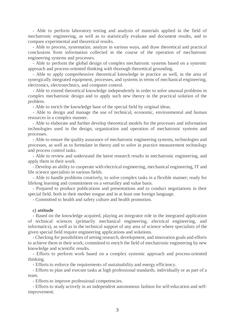- Able to perform laboratory testing and analysis of materials applied in the field of mechatronic engineering, as well as to statistically evaluate and document results, and to compare experimental and theoretical results.

- Able to process, systematize, analyze in various ways, and draw theoretical and practical conclusions from information collected in the course of the operation of mechatronic engineering systems and processes.

- Able to perform the global design of complex mechatronic systems based on a systemic approach and process-oriented thinking with thorough theoretical grounding.

- Able to apply comprehensive theoretical knowledge in practice as well, in the area of synergically integrated equipment, processes, and systems in terms of mechanical engineering, electronics, electrotechnics, and computer control.

- Able to extend theoretical knowledge independently in order to solve unusual problems in complex mechatronic design and to apply such new theory in the practical solution of the problem.

- Able to enrich the knowledge base of the special field by original ideas.

- Able to design and manage the use of technical, economic, environmental and human resources in a complex manner.

- Able to elaborate and further develop theoretical models for the processes and information technologies used in the design, organization and operation of mechatronic systems and processes.

- Able to ensure the quality assurance of mechatronic engineering systems, technologies and processes, as well as to formulate in theory and to solve in practice measurement technology and process control tasks.

- Able to review and understand the latest research results in mechatronic engineering, and apply them in their work.

- Develop an ability to cooperate with electrical engineering, mechanical engineering, IT and life science specialists in various fields.

- Able to handle problems creatively, to solve complex tasks in a flexible manner; ready for lifelong learning and commitment on a versatility and value basis.

- Prepared to produce publications and presentations and to conduct negotiations in their special field, both in their mother tongue and in at least one foreign language.

- Committed to health and safety culture and health promotion.

#### *c)* **attitude**

- Based on the knowledge acquired, playing an integrator role in the integrated application of technical sciences (primarily mechanical engineering, electrical engineering, and informatics), as well as in the technical support of any area of science where specialists of the given special field require engineering applications and solutions.

- Checking for possibilities of setting research, development, and innovation goals and efforts to achieve them in their work; committed to enrich the field of mechatronic engineering by new knowledge and scientific results.

- Efforts to perform work based on a complex systemic approach and process-oriented thinking.

- Efforts to enforce the requirements of sustainability and energy efficiency.

- Efforts to plan and execute tasks at high professional standards, individually or as part of a team.

- Efforts to improve professional competencies.

- Efforts to study actively in an independent autonomous fashion for self-education and selfimprovement.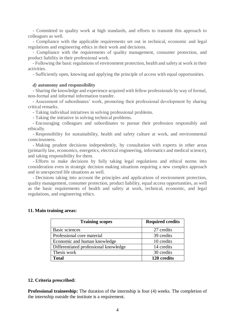- Committed to quality work at high standards, and efforts to transmit this approach to colleagues as well.

- Compliance with the applicable requirements set out in technical, economic and legal regulations and engineering ethics in their work and decisions.

- Compliance with the requirements of quality management, consumer protection, and product liability in their professional work.

- Following the basic regulations of environment protection, health and safety at work in their activities.

- Sufficiently open, knowing and applying the principle of access with equal opportunities.

#### *d)* **autonomy and responsibility**

**-** Sharing the knowledge and experience acquired with fellow professionals by way of formal, non-formal and informal information transfer.

**-** Assessment of subordinates' work, promoting their professional development by sharing critical remarks.

**-** Taking individual initiatives in solving professional problems.

**-** Taking the initiative in solving technical problems.

**-** Encouraging colleagues and subordinates to pursue their profession responsibly and ethically.

**-** Responsibility for sustainability, health and safety culture at work, and environmental consciousness.

**-** Making prudent decisions independently, by consultation with experts in other areas (primarily law, economics, energetics, electrical engineering, informatics and medical science), and taking responsibility for them.

**-** Efforts to make decisions by fully taking legal regulations and ethical norms into consideration even in strategic decision making situations requiring a new complex approach and in unexpected life situations as well.

**-** Decisions taking into account the principles and applications of environment protection, quality management, consumer protection, product liability, equal access opportunities, as well as the basic requirements of health and safety at work, technical, economic, and legal regulations, and engineering ethics.

#### **11. Main training areas:**

| <b>Training scopes</b>                | <b>Required credits</b> |
|---------------------------------------|-------------------------|
| Basic sciences                        | 27 credits              |
| Professional core material            | 39 credits              |
| Economic and human knowledge          | 10 credits              |
| Differentiated professional knowledge | 14 credits              |
| Thesis work                           | 30 credits              |
| <b>Total</b>                          | 120 credits             |

#### **12. Criteria prescribed:**

**Professional traineeship:** The duration of the internship is four (4) weeks. The completion of the internship outside the institute is a requirement.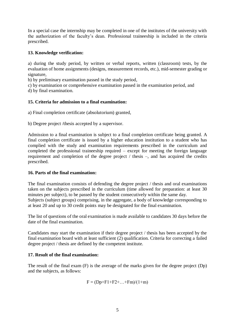In a special case the internship may be completed in one of the institutes of the university with the authorization of the faculty's dean. Professional traineeship is included in the criteria prescribed.

## **13. Knowledge verification:**

a) during the study period, by written or verbal reports, written (classroom) tests, by the evaluation of home assignments (designs, measurement records, etc.), mid-semester grading or signature,

b) by preliminary examination passed in the study period,

c) by examination or comprehensive examination passed in the examination period, and d) by final examination.

## **15. Criteria for admission to a final examination:**

a) Final completion certificate (absolutorium) granted,

b) Degree project /thesis accepted by a supervisor.

Admission to a final examination is subject to a final completion certificate being granted. A final completion certificate is issued by a higher education institution to a student who has complied with the study and examination requirements prescribed in the curriculum and completed the professional traineeship required – except for meeting the foreign language requirement and completion of the degree project / thesis –, and has acquired the credits prescribed.

## **16. Parts of the final examination:**

The final examination consists of defending the degree project / thesis and oral examinations taken on the subjects prescribed in the curriculum (time allowed for preparation: at least 30 minutes per subject), to be passed by the student consecutively within the same day. Subjects (subject groups) comprising, in the aggregate, a body of knowledge corresponding to at least 20 and up to 30 credit points may be designated for the final examination.

The list of questions of the oral examination is made available to candidates 30 days before the date of the final examination.

Candidates may start the examination if their degree project / thesis has been accepted by the final examination board with at least sufficient (2) qualification. Criteria for correcting a failed degree project / thesis are defined by the competent institute.

## **17. Result of the final examination:**

The result of the final exam (F) is the average of the marks given for the degree project (Dp) and the subjects, as follows:

$$
F = (Dp + F1 + F2 + ... + Fm)/(1 + m)
$$